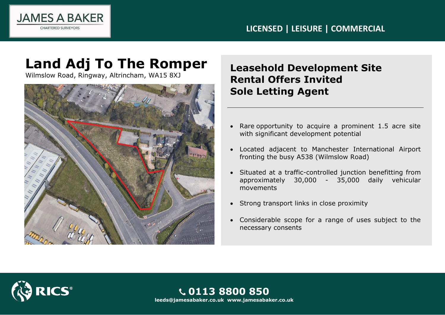

## **LICENSED | LEISURE | COMMERCIAL**

# **Land Adj To The Romper**

Wilmslow Road, Ringway, Altrincham, WA15 8XJ



# **Leasehold Development Site Rental Offers Invited Sole Letting Agent**

- Rare opportunity to acquire a prominent 1.5 acre site with significant development potential
- Located adjacent to Manchester International Airport fronting the busy A538 (Wilmslow Road)
- Situated at a traffic-controlled junction benefitting from approximately 30,000 - 35,000 daily vehicular movements
- Strong transport links in close proximity
- Considerable scope for a range of uses subject to the necessary consents



**0113 8800 850 leeds@jamesabaker.co.uk www.jamesabaker.co.uk**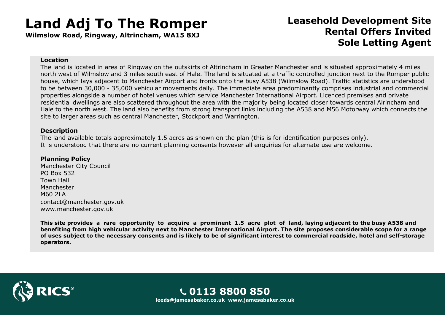# **Land Adj To The Romper**

**Wilmslow Road, Ringway, Altrincham, WA15 8XJ**

## **Leasehold Development Site Rental Offers Invited Sole Letting Agent**

#### **Location**

The land is located in area of Ringway on the outskirts of Altrincham in Greater Manchester and is situated approximately 4 miles north west of Wilmslow and 3 miles south east of Hale. The land is situated at a traffic controlled junction next to the Romper public house, which lays adjacent to Manchester Airport and fronts onto the busy A538 (Wilmslow Road). Traffic statistics are understood to be between 30,000 - 35,000 vehicular movements daily. The immediate area predominantly comprises industrial and commercial properties alongside a number of hotel venues which service Manchester International Airport. Licenced premises and private residential dwellings are also scattered throughout the area with the majority being located closer towards central Alrincham and Hale to the north west. The land also benefits from strong transport links including the A538 and M56 Motorway which connects the site to larger areas such as central Manchester, Stockport and Warrington.

#### **Description**

The land available totals approximately 1.5 acres as shown on the plan (this is for identification purposes only). It is understood that there are no current planning consents however all enquiries for alternate use are welcome.

### **Planning Policy**

Manchester City Council PO Box 532 Town Hall Manchester M60 2LA contact@manchester.gov.uk www.manchester.gov.uk

**This site provides a rare opportunity to acquire a prominent 1.5 acre plot of land, laying adjacent to the busy A538 and benefiting from high vehicular activity next to Manchester International Airport. The site proposes considerable scope for a range of uses subject to the necessary consents and is likely to be of significant interest to commercial roadside, hotel and self-storage operators.**



**0113 8800 850 leeds@jamesabaker.co.uk www.jamesabaker.co.uk**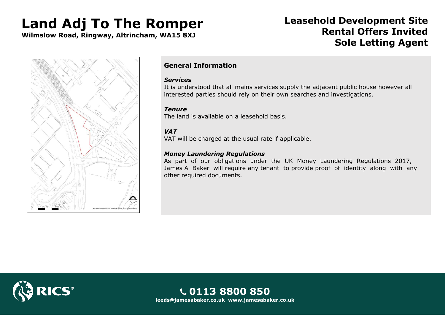# **Land Adj To The Romper**

**Wilmslow Road, Ringway, Altrincham, WA15 8XJ**

## **Leasehold Development Site Rental Offers Invited Sole Letting Agent**



## **General Information**

### *Services*

It is understood that all mains services supply the adjacent public house however all interested parties should rely on their own searches and investigations.

### *Tenure*

The land is available on a leasehold basis.

### *VAT*

VAT will be charged at the usual rate if applicable.

### *Money Laundering Regulations*

As part of our obligations under the UK Money Laundering Regulations 2017, James A Baker will require any tenant to provide proof of identity along with any other required documents.